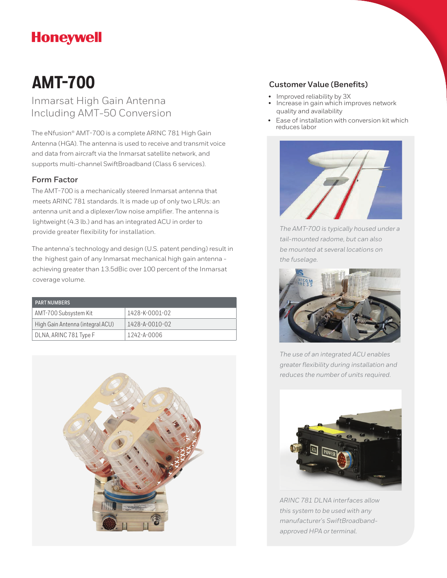# **Honeywell**

# **AMT-700**

Inmarsat High Gain Antenna Including AMT-50 Conversion

The eNfusion® AMT-700 is a complete ARINC 781 High Gain Antenna (HGA). The antenna is used to receive and transmit voice and data from aircraft via the Inmarsat satellite network, and supports multi-channel SwiftBroadband (Class 6 services).

## **Form Factor**

The AMT-700 is a mechanically steered Inmarsat antenna that meets ARINC 781 standards. It is made up of only two LRUs: an antenna unit and a diplexer/low noise amplifier. The antenna is lightweight (4.3 lb.) and has an integrated ACU in order to provide greater flexibility for installation.

The antenna's technology and design (U.S. patent pending) result in the highest gain of any Inmarsat mechanical high gain antenna achieving greater than 13.5dBic over 100 percent of the Inmarsat coverage volume.

| <b>PART NUMBERS</b>              |                        |
|----------------------------------|------------------------|
| AMT-700 Subsystem Kit            | 1428-K-0001-02         |
| High Gain Antenna (integral ACU) | $1428 - A - 0010 - 02$ |
| DLNA, ARINC 781 Type F           | 1242-A-0006            |



## **Customer Value (Benefits)**

- Improved reliability by 3X
- Increase in gain which improves network quality and availability
- Ease of installation with conversion kit which reduces labor



*The AMT-700 is typically housed under a tail-mounted radome, but can also be mounted at several locations on the fuselage.*



*The use of an integrated ACU enables greater flexibility during installation and reduces the number of units required.*



*ARINC 781 DLNA interfaces allow this system to be used with any manufacturer's SwiftBroadbandapproved HPA or terminal.*